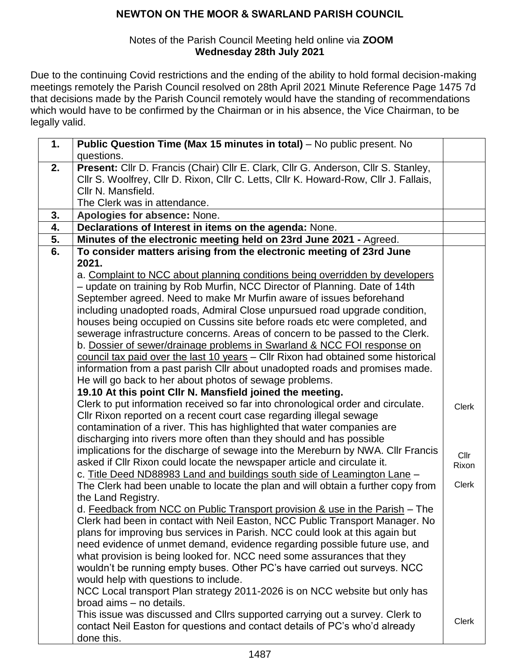#### Notes of the Parish Council Meeting held online via **ZOOM Wednesday 28th July 2021**

Due to the continuing Covid restrictions and the ending of the ability to hold formal decision-making meetings remotely the Parish Council resolved on 28th April 2021 Minute Reference Page 1475 7d that decisions made by the Parish Council remotely would have the standing of recommendations which would have to be confirmed by the Chairman or in his absence, the Vice Chairman, to be legally valid.

| 1. | Public Question Time (Max 15 minutes in total) - No public present. No                                                                                       |               |
|----|--------------------------------------------------------------------------------------------------------------------------------------------------------------|---------------|
|    | questions.                                                                                                                                                   |               |
| 2. | Present: Cllr D. Francis (Chair) Cllr E. Clark, Cllr G. Anderson, Cllr S. Stanley,                                                                           |               |
|    | Cllr S. Woolfrey, Cllr D. Rixon, Cllr C. Letts, Cllr K. Howard-Row, Cllr J. Fallais,                                                                         |               |
|    | Cllr N. Mansfield.                                                                                                                                           |               |
|    | The Clerk was in attendance.                                                                                                                                 |               |
| 3. | Apologies for absence: None.                                                                                                                                 |               |
| 4. | Declarations of Interest in items on the agenda: None.                                                                                                       |               |
| 5. | Minutes of the electronic meeting held on 23rd June 2021 - Agreed.                                                                                           |               |
| 6. | To consider matters arising from the electronic meeting of 23rd June                                                                                         |               |
|    | 2021.                                                                                                                                                        |               |
|    | a. Complaint to NCC about planning conditions being overridden by developers                                                                                 |               |
|    | - update on training by Rob Murfin, NCC Director of Planning. Date of 14th                                                                                   |               |
|    | September agreed. Need to make Mr Murfin aware of issues beforehand                                                                                          |               |
|    | including unadopted roads, Admiral Close unpursued road upgrade condition,                                                                                   |               |
|    | houses being occupied on Cussins site before roads etc were completed, and                                                                                   |               |
|    | sewerage infrastructure concerns. Areas of concern to be passed to the Clerk.                                                                                |               |
|    | b. Dossier of sewer/drainage problems in Swarland & NCC FOI response on<br>council tax paid over the last 10 years - Cllr Rixon had obtained some historical |               |
|    | information from a past parish Cllr about unadopted roads and promises made.                                                                                 |               |
|    | He will go back to her about photos of sewage problems.                                                                                                      |               |
|    | 19.10 At this point Cllr N. Mansfield joined the meeting.                                                                                                    |               |
|    | Clerk to put information received so far into chronological order and circulate.                                                                             |               |
|    | CIIr Rixon reported on a recent court case regarding illegal sewage                                                                                          | <b>Clerk</b>  |
|    | contamination of a river. This has highlighted that water companies are                                                                                      |               |
|    | discharging into rivers more often than they should and has possible                                                                                         |               |
|    | implications for the discharge of sewage into the Mereburn by NWA. Cllr Francis                                                                              |               |
|    | asked if Cllr Rixon could locate the newspaper article and circulate it.                                                                                     | Cllr<br>Rixon |
|    | c. Title Deed ND88983 Land and buildings south side of Leamington Lane -                                                                                     |               |
|    | The Clerk had been unable to locate the plan and will obtain a further copy from                                                                             | Clerk         |
|    | the Land Registry.                                                                                                                                           |               |
|    | d. Feedback from NCC on Public Transport provision & use in the Parish - The                                                                                 |               |
|    | Clerk had been in contact with Neil Easton, NCC Public Transport Manager. No                                                                                 |               |
|    | plans for improving bus services in Parish. NCC could look at this again but                                                                                 |               |
|    | need evidence of unmet demand, evidence regarding possible future use, and                                                                                   |               |
|    | what provision is being looked for. NCC need some assurances that they                                                                                       |               |
|    | wouldn't be running empty buses. Other PC's have carried out surveys. NCC                                                                                    |               |
|    | would help with questions to include.                                                                                                                        |               |
|    | NCC Local transport Plan strategy 2011-2026 is on NCC website but only has                                                                                   |               |
|    | broad aims - no details.                                                                                                                                     |               |
|    | This issue was discussed and Cllrs supported carrying out a survey. Clerk to                                                                                 | <b>Clerk</b>  |
|    | contact Neil Easton for questions and contact details of PC's who'd already                                                                                  |               |
|    | done this.                                                                                                                                                   |               |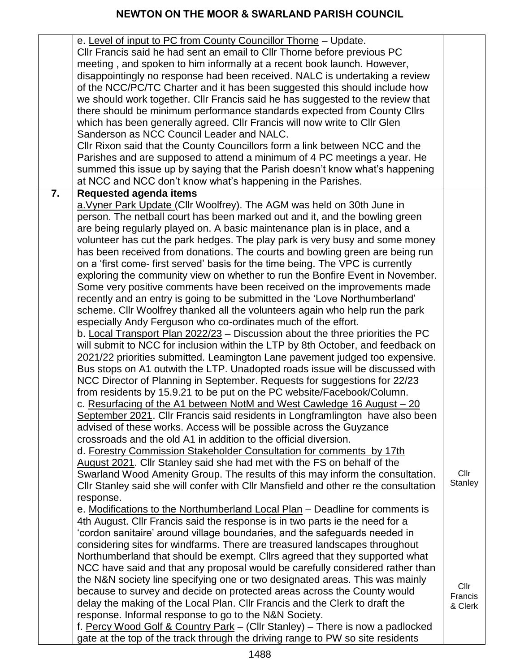|    | e. Level of input to PC from County Councillor Thorne - Update.<br>CIIr Francis said he had sent an email to CIIr Thorne before previous PC<br>meeting, and spoken to him informally at a recent book launch. However,<br>disappointingly no response had been received. NALC is undertaking a review<br>of the NCC/PC/TC Charter and it has been suggested this should include how<br>we should work together. Cllr Francis said he has suggested to the review that<br>there should be minimum performance standards expected from County Cllrs<br>which has been generally agreed. Cllr Francis will now write to Cllr Glen<br>Sanderson as NCC Council Leader and NALC.<br>CIIr Rixon said that the County Councillors form a link between NCC and the<br>Parishes and are supposed to attend a minimum of 4 PC meetings a year. He<br>summed this issue up by saying that the Parish doesn't know what's happening<br>at NCC and NCC don't know what's happening in the Parishes.                                                                                                                                                                                                                                                                                                                                                                                                                                                                                                                                                                                                                                                                                                                                                                                                                                                                                                                                                                                                                                                           |                            |
|----|--------------------------------------------------------------------------------------------------------------------------------------------------------------------------------------------------------------------------------------------------------------------------------------------------------------------------------------------------------------------------------------------------------------------------------------------------------------------------------------------------------------------------------------------------------------------------------------------------------------------------------------------------------------------------------------------------------------------------------------------------------------------------------------------------------------------------------------------------------------------------------------------------------------------------------------------------------------------------------------------------------------------------------------------------------------------------------------------------------------------------------------------------------------------------------------------------------------------------------------------------------------------------------------------------------------------------------------------------------------------------------------------------------------------------------------------------------------------------------------------------------------------------------------------------------------------------------------------------------------------------------------------------------------------------------------------------------------------------------------------------------------------------------------------------------------------------------------------------------------------------------------------------------------------------------------------------------------------------------------------------------------------------------------------------|----------------------------|
| 7. | <b>Requested agenda items</b><br>a. Vyner Park Update (Cllr Woolfrey). The AGM was held on 30th June in<br>person. The netball court has been marked out and it, and the bowling green<br>are being regularly played on. A basic maintenance plan is in place, and a<br>volunteer has cut the park hedges. The play park is very busy and some money<br>has been received from donations. The courts and bowling green are being run<br>on a 'first come- first served' basis for the time being. The VPC is currently<br>exploring the community view on whether to run the Bonfire Event in November.<br>Some very positive comments have been received on the improvements made<br>recently and an entry is going to be submitted in the 'Love Northumberland'<br>scheme. Cllr Woolfrey thanked all the volunteers again who help run the park<br>especially Andy Ferguson who co-ordinates much of the effort.<br>b. Local Transport Plan 2022/23 - Discussion about the three priorities the PC<br>will submit to NCC for inclusion within the LTP by 8th October, and feedback on<br>2021/22 priorities submitted. Leamington Lane pavement judged too expensive.<br>Bus stops on A1 outwith the LTP. Unadopted roads issue will be discussed with<br>NCC Director of Planning in September. Requests for suggestions for 22/23<br>from residents by 15.9.21 to be put on the PC website/Facebook/Column.<br>c. Resurfacing of the A1 between NotM and West Cawledge 16 August - 20<br>September 2021. Cllr Francis said residents in Longframlington have also been<br>advised of these works. Access will be possible across the Guyzance<br>crossroads and the old A1 in addition to the official diversion.<br>d. Forestry Commission Stakeholder Consultation for comments by 17th<br>August 2021. Cllr Stanley said she had met with the FS on behalf of the<br>Swarland Wood Amenity Group. The results of this may inform the consultation.<br>CIIr Stanley said she will confer with CIIr Mansfield and other re the consultation | Cllr<br>Stanley            |
|    | response.<br>e. Modifications to the Northumberland Local Plan - Deadline for comments is<br>4th August. Cllr Francis said the response is in two parts ie the need for a<br>'cordon sanitaire' around village boundaries, and the safeguards needed in<br>considering sites for windfarms. There are treasured landscapes throughout<br>Northumberland that should be exempt. Cllrs agreed that they supported what<br>NCC have said and that any proposal would be carefully considered rather than<br>the N&N society line specifying one or two designated areas. This was mainly<br>because to survey and decide on protected areas across the County would<br>delay the making of the Local Plan. Cllr Francis and the Clerk to draft the<br>response. Informal response to go to the N&N Society.<br>f. Percy Wood Golf & Country Park - (Cllr Stanley) - There is now a padlocked<br>gate at the top of the track through the driving range to PW so site residents                                                                                                                                                                                                                                                                                                                                                                                                                                                                                                                                                                                                                                                                                                                                                                                                                                                                                                                                                                                                                                                                      | Cllr<br>Francis<br>& Clerk |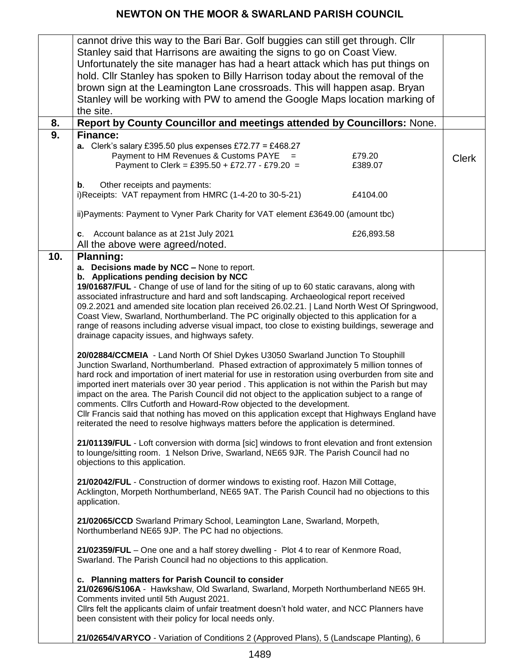|     | cannot drive this way to the Bari Bar. Golf buggies can still get through. Cllr                   |              |
|-----|---------------------------------------------------------------------------------------------------|--------------|
|     | Stanley said that Harrisons are awaiting the signs to go on Coast View.                           |              |
|     | Unfortunately the site manager has had a heart attack which has put things on                     |              |
|     | hold. Cllr Stanley has spoken to Billy Harrison today about the removal of the                    |              |
|     |                                                                                                   |              |
|     | brown sign at the Leamington Lane crossroads. This will happen asap. Bryan                        |              |
|     | Stanley will be working with PW to amend the Google Maps location marking of                      |              |
|     | the site.                                                                                         |              |
| 8.  | Report by County Councillor and meetings attended by Councillors: None.                           |              |
| 9.  | <b>Finance:</b>                                                                                   |              |
|     | a. Clerk's salary £395.50 plus expenses £72.77 = £468.27                                          |              |
|     | Payment to HM Revenues & Customs PAYE =<br>£79.20                                                 | <b>Clerk</b> |
|     | Payment to Clerk = £395.50 + £72.77 - £79.20 =<br>£389.07                                         |              |
|     |                                                                                                   |              |
|     | Other receipts and payments:<br>$\mathbf b$ .                                                     |              |
|     | i)Receipts: VAT repayment from HMRC (1-4-20 to 30-5-21)<br>£4104.00                               |              |
|     |                                                                                                   |              |
|     | ii) Payments: Payment to Vyner Park Charity for VAT element £3649.00 (amount tbc)                 |              |
|     | c. Account balance as at 21st July 2021<br>£26,893.58                                             |              |
|     | All the above were agreed/noted.                                                                  |              |
| 10. | <b>Planning:</b>                                                                                  |              |
|     | a. Decisions made by NCC - None to report.                                                        |              |
|     | b. Applications pending decision by NCC                                                           |              |
|     | 19/01687/FUL - Change of use of land for the siting of up to 60 static caravans, along with       |              |
|     | associated infrastructure and hard and soft landscaping. Archaeological report received           |              |
|     | 09.2.2021 and amended site location plan received 26.02.21.   Land North West Of Springwood,      |              |
|     | Coast View, Swarland, Northumberland. The PC originally objected to this application for a        |              |
|     | range of reasons including adverse visual impact, too close to existing buildings, sewerage and   |              |
|     | drainage capacity issues, and highways safety.                                                    |              |
|     |                                                                                                   |              |
|     | 20/02884/CCMEIA - Land North Of Shiel Dykes U3050 Swarland Junction To Stouphill                  |              |
|     | Junction Swarland, Northumberland. Phased extraction of approximately 5 million tonnes of         |              |
|     | hard rock and importation of inert material for use in restoration using overburden from site and |              |
|     | imported inert materials over 30 year period. This application is not within the Parish but may   |              |
|     | impact on the area. The Parish Council did not object to the application subject to a range of    |              |
|     | comments. Cllrs Cutforth and Howard-Row objected to the development.                              |              |
|     | CIIr Francis said that nothing has moved on this application except that Highways England have    |              |
|     | reiterated the need to resolve highways matters before the application is determined.             |              |
|     | 21/01139/FUL - Loft conversion with dorma [sic] windows to front elevation and front extension    |              |
|     | to lounge/sitting room. 1 Nelson Drive, Swarland, NE65 9JR. The Parish Council had no             |              |
|     | objections to this application.                                                                   |              |
|     |                                                                                                   |              |
|     | 21/02042/FUL - Construction of dormer windows to existing roof. Hazon Mill Cottage,               |              |
|     | Acklington, Morpeth Northumberland, NE65 9AT. The Parish Council had no objections to this        |              |
|     | application.                                                                                      |              |
|     |                                                                                                   |              |
|     | 21/02065/CCD Swarland Primary School, Leamington Lane, Swarland, Morpeth,                         |              |
|     | Northumberland NE65 9JP. The PC had no objections.                                                |              |
|     |                                                                                                   |              |
|     | 21/02359/FUL - One one and a half storey dwelling - Plot 4 to rear of Kenmore Road,               |              |
|     | Swarland. The Parish Council had no objections to this application.                               |              |
|     | c. Planning matters for Parish Council to consider                                                |              |
|     | 21/02696/S106A - Hawkshaw, Old Swarland, Swarland, Morpeth Northumberland NE65 9H.                |              |
|     | Comments invited until 5th August 2021.                                                           |              |
|     | Cllrs felt the applicants claim of unfair treatment doesn't hold water, and NCC Planners have     |              |
|     | been consistent with their policy for local needs only.                                           |              |
|     |                                                                                                   |              |
|     | 21/02654/VARYCO - Variation of Conditions 2 (Approved Plans), 5 (Landscape Planting), 6           |              |